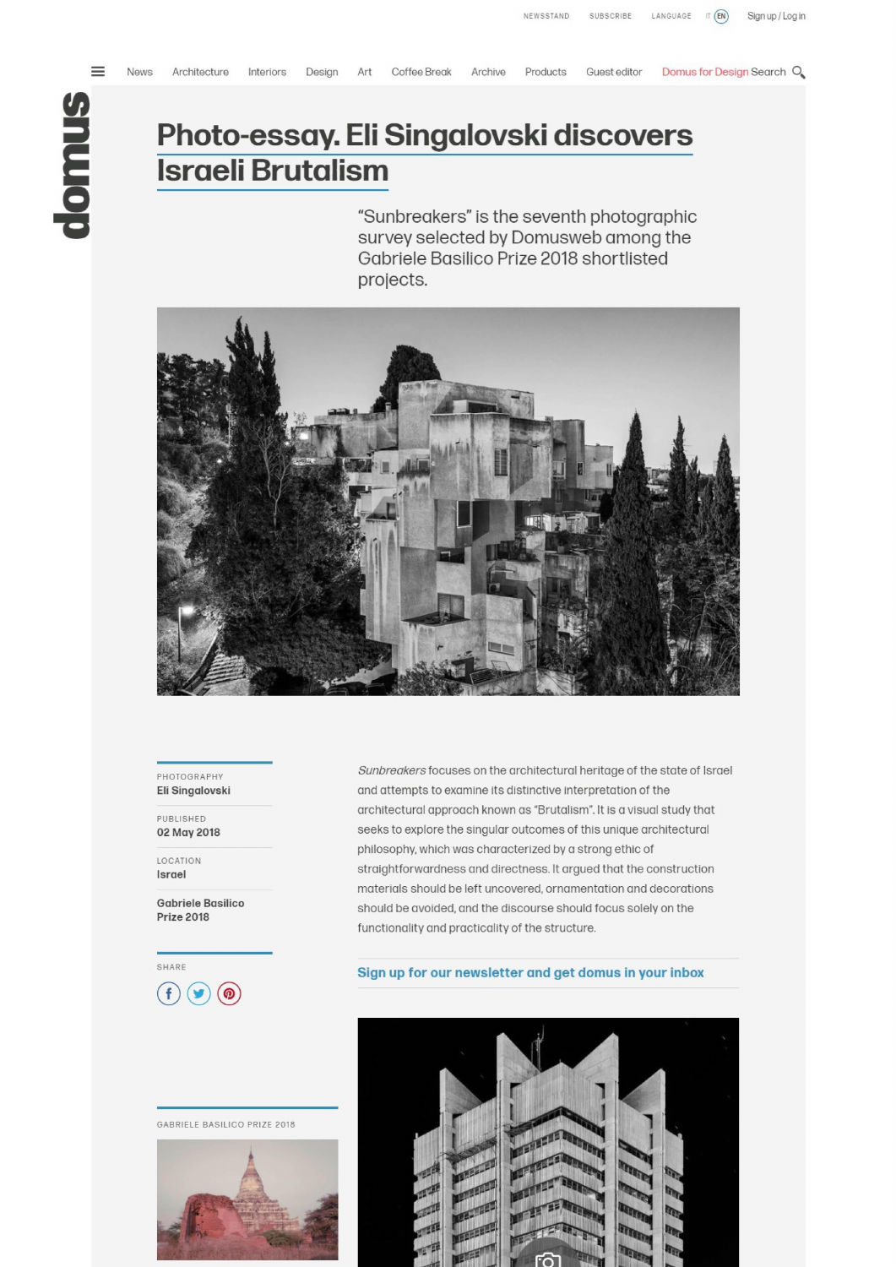$\equiv$ 

# **Photo-essay. Eli Singalovski discovers Israeli Brutalism**

News Architecture Interiors Design Art Coffee-Break Archive Products Guest editor Domus-for-Design-Search Q

**"Sunbreakers" is the seventh photographic survey selected by Domusweb among the Gabriele Basilico Prize 2018 shortlisted projects.** 



**PHOTOGRAPHY Eli Singalovski** 

PUBLISHED **02 May2018** 

LOCATION **Israel** 

**Gabriele Basilico Prize 2018** 

**CD0®** 

GABRIELE BASILICO PRIZE 2018



*Sunbreakers* focuses on the architectural heritage of the state of Israel and attempts to examine its distinctive interpretation of the architectural approach known as "Brutalism". It is a visual study that seeks to explore the singular outcomes of this unique architectural philosophy, which was characterized by a strong ethic of straightforwardness and directness. **lt** argued that the construction materials should be left uncovered, ornamentation and decorations should be avoided, and the discourse should focus solelv on the functionality and practicality of the structure.

## **SHARE** SHARE **SIGN UP FOR OUR DEALER SHARE**